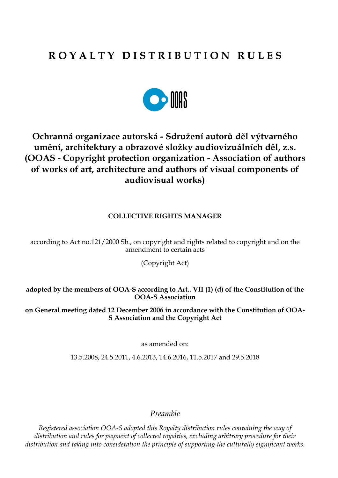# **R O Y A L T Y D I S T R I B U T I O N R U L E S**



# **Ochranná organizace autorská - Sdružení autorů děl výtvarného umění, architektury a obrazové složky audiovizuálních děl, z.s. (OOAS - Copyright protection organization - Association of authors of works of art, architecture and authors of visual components of audiovisual works)**

## **COLLECTIVE RIGHTS MANAGER**

according to Act no.121/2000 Sb., on copyright and rights related to copyright and on the amendment to certain acts

(Copyright Act)

**adopted by the members of OOA-S according to Art.. VII (1) (d) of the Constitution of the OOA-S Association**

**on General meeting dated 12 December 2006 in accordance with the Constitution of OOA-S Association and the Copyright Act**

as amended on:

13.5.2008, 24.5.2011, 4.6.2013, 14.6.2016, 11.5.2017 and 29.5.2018

*Preamble*

*Registered association OOA-S adopted this Royalty distribution rules containing the way of distribution and rules for payment of collected royalties, excluding arbitrary procedure for their distribution and taking into consideration the principle of supporting the culturally significant works.*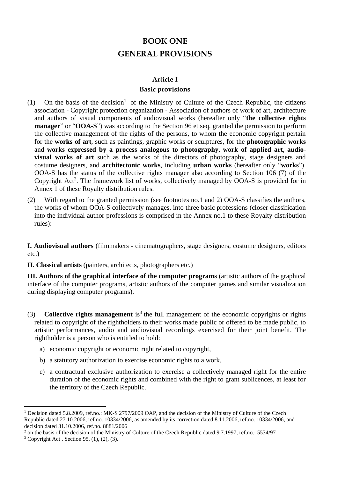# **BOOK ONE GENERAL PROVISIONS**

#### **Article I**

#### **Basic provisions**

- (1) On the basis of the decision<sup>1</sup> of the Ministry of Culture of the Czech Republic, the citizens association - Copyright protection organization - Association of authors of work of art, architecture and authors of visual components of audiovisual works (hereafter only "**the collective rights manager**" or "**OOA-S**") was according to the Section 96 et seq. granted the permission to perform the collective management of the rights of the persons, to whom the economic copyright pertain for the **works of art**, such as paintings, graphic works or sculptures, for the **photographic works** and **works expressed by a process analogous to photography**, **work of applied art**, **audiovisual works of art** such as the works of the directors of photography, stage designers and costume designers, and **architectonic works**, including **urban works** (hereafter only "**works**"). OOA-S has the status of the collective rights manager also according to Section 106 (7) of the Copyright Act<sup>2</sup>. The framework list of works, collectively managed by OOA-S is provided for in Annex 1 of these Royalty distribution rules.
- (2) With regard to the granted permission (see footnotes no.1 and 2) OOA-S classifies the authors, the works of whom OOA-S collectively manages, into three basic professions (closer classification into the individual author professions is comprised in the Annex no.1 to these Royalty distribution rules):

**I. Audiovisual authors** (filmmakers - cinematographers, stage designers, costume designers, editors etc.)

**II. Classical artists** (painters, architects, photographers etc.)

**III. Authors of the graphical interface of the computer programs** (artistic authors of the graphical interface of the computer programs, artistic authors of the computer games and similar visualization during displaying computer programs).

- (3) **Collective rights management** is<sup>3</sup> the full management of the economic copyrights or rights related to copyright of the rightholders to their works made public or offered to be made public, to artistic performances, audio and audiovisual recordings exercised for their joint benefit. The rightholder is a person who is entitled to hold:
	- a) economic copyright or economic right related to copyright,
	- b) a statutory authorization to exercise economic rights to a work,
	- c) a contractual exclusive authorization to exercise a collectively managed right for the entire duration of the economic rights and combined with the right to grant sublicences, at least for the territory of the Czech Republic.

<sup>&</sup>lt;sup>1</sup> Decision dated 5.8.2009, ref.no.: MK-S 2797/2009 OAP, and the decision of the Ministry of Culture of the Czech Republic dated 27.10.2006, ref.no. 10334/2006, as amended by its correction dated 8.11.2006, ref.no. 10334/2006, and decision dated 31.10.2006, ref.no. 8881/2006

<sup>&</sup>lt;sup>2</sup> on the basis of the decision of the Ministry of Culture of the Czech Republic dated 9.7.1997, ref.no.: 5534/97

 $3$  Copyright Act, Section 95, (1), (2), (3).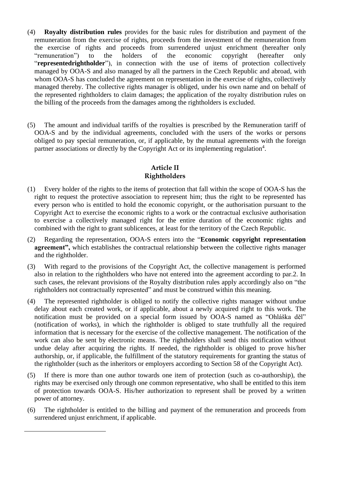- (4) **Royalty distribution rules** provides for the basic rules for distribution and payment of the remuneration from the exercise of rights, proceeds from the investment of the remuneration from the exercise of rights and proceeds from surrendered unjust enrichment (hereafter only "remuneration") to the holders of the economic copyright (hereafter only "**representedrightholder**"), in connection with the use of items of protection collectively managed by OOA-S and also managed by all the partners in the Czech Republic and abroad, with whom OOA-S has concluded the agreement on representation in the exercise of rights, collectively managed thereby. The collective rights manager is obliged, under his own name and on behalf of the represented rightholders to claim damages; the application of the royalty distribution rules on the billing of the proceeds from the damages among the rightholders is excluded.
- (5) The amount and individual tariffs of the royalties is prescribed by the Remuneration tariff of OOA-S and by the individual agreements, concluded with the users of the works or persons obliged to pay special remuneration, or, if applicable, by the mutual agreements with the foreign partner associations or directly by the Copyright Act or its implementing regulation<sup>4</sup>.

## **Article II Rightholders**

- (1) Every holder of the rights to the items of protection that fall within the scope of OOA-S has the right to request the protective association to represent him; thus the right to be represented has every person who is entitled to hold the economic copyright, or the authorisation pursuant to the Copyright Act to exercise the economic rights to a work or the contractual exclusive authorisation to exercise a collectively managed right for the entire duration of the economic rights and combined with the right to grant sublicences, at least for the territory of the Czech Republic.
- (2) Regarding the representation, OOA-S enters into the "**Economic copyright representation agreement",** which establishes the contractual relationship between the collective rights manager and the rightholder.
- (3) With regard to the provisions of the Copyright Act, the collective management is performed also in relation to the rightholders who have not entered into the agreement according to par.2. In such cases, the relevant provisions of the Royalty distribution rules apply accordingly also on "the rightholders not contractually represented" and must be construed within this meaning.
- (4) The represented rightholder is obliged to notify the collective rights manager without undue delay about each created work, or if applicable, about a newly acquired right to this work. The notification must be provided on a special form issued by OOA-S named as "Ohláška děl" (notification of works), in which the rightholder is obliged to state truthfully all the required information that is necessary for the exercise of the collective management. The notification of the work can also be sent by electronic means. The rightholders shall send this notification without undue delay after acquiring the rights. If needed, the rightholder is obliged to prove his/her authorship, or, if applicable, the fulfillment of the statutory requirements for granting the status of the rightholder (such as the inheritors or employers according to Section 58 of the Copyright Act).
- (5) If there is more than one author towards one item of protection (such as co-authorship), the rights may be exercised only through one common representative, who shall be entitled to this item of protection towards OOA-S. His/her authorization to represent shall be proved by a written power of attorney.
- (6) The rightholder is entitled to the billing and payment of the remuneration and proceeds from surrendered unjust enrichment, if applicable.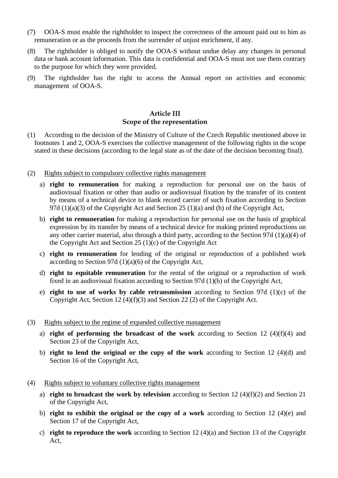- (7) OOA-S must enable the rightholder to inspect the correctness of the amount paid out to him as remuneration or as the proceeds from the surrender of unjust enrichment, if any.
- (8) The rightholder is obliged to notify the OOA-S without undue delay any changes in personal data or bank account information. This data is confidential and OOA-S must not use them contrary to the purpose for which they were provided.
- (9) The rightholder has the right to access the Annual report on activities and economic management of OOA-S.

## **Article III Scope of the representation**

- (1) According to the decision of the Ministry of Culture of the Czech Republic mentioned above in footnotes 1 and 2, OOA-S exercises the collective management of the following rights in the scope stated in these decisions (according to the legal state as of the date of the decision becoming final).
- (2) Rights subject to compulsory collective rights management
	- a) **right to remuneration** for making a reproduction for personal use on the basis of audiovisual fixation or other than audio or audiovisual fixation by the transfer of its content by means of a technical device to blank record carrier of such fixation according to Section 97d (1)(a)(3) of the Copyright Act and Section 25 (1)(a) and (b) of the Copyright Act,
	- b) **right to remuneration** for making a reproduction for personal use on the basis of graphical expression by its transfer by means of a technical device for making printed reproductions on any other carrier material, also through a third party, according to the Section 97d (1)(a)(4) of the Copyright Act and Section 25 (1)(c) of the Copyright Act
	- c) **right to remuneration** for lending of the original or reproduction of a published work according to Section 97d (1)(a)(6) of the Copyright Act,
	- d) **right to equitable remuneration** for the rental of the original or a reproduction of work fixed in an audiovisual fixation according to Section 97d (1)(b) of the Copyright Act,
	- e) **right to use of works by cable retransmission** according to Section 97d (1)(c) of the Copyright Act, Section 12 (4)(f)(3) and Section 22 (2) of the Copyright Act.
- (3) Rights subject to the regime of expanded collective management
	- a) **right of performing the broadcast of the work** according to Section 12 (4)(f)(4) and Section 23 of the Copyright Act,
	- b) **right to lend the original or the copy of the work** according to Section 12 (4)(d) and Section 16 of the Copyright Act,
- (4) Rights subject to voluntary collective rights management
	- a) **right to broadcast the work by television** according to Section 12 (4)(f)(2) and Section 21 of the Copyright Act,
	- b) **right to exhibit the original or the copy of a work** according to Section 12 (4)(e) and Section 17 of the Copyright Act,
	- c) **right to reproduce the work** according to Section 12 (4)(a) and Section 13 of the Copyright Act,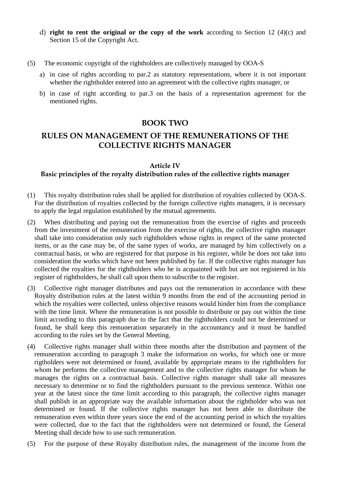- d) **right to rent the original or the copy of the work** according to Section 12 (4)(c) and Section 15 of the Copyright Act.
- (5) The economic copyright of the rightholders are collectively managed by OOA-S
	- a) in case of rights according to par.2 as statutory representations, where it is not important whether the rightholder entered into an agreement with the collective rights manager, or
	- b) in case of right according to par.3 on the basis of a representation agreement for the mentioned rights.

## **BOOK TWO**

# **RULES ON MANAGEMENT OF THE REMUNERATIONS OF THE COLLECTIVE RIGHTS MANAGER**

#### **Article IV**

## **Basic principles of the royalty distribution rules of the collective rights manager**

- (1) This royalty distribution rules shall be applied for distribution of royalties collected by OOA-S. For the distribution of royalties collected by the foreign collective rights managers, it is necessary to apply the legal regulation established by the mutual agreements.
- (2) When distributing and paying out the remuneration from the exercise of rights and proceeds from the investment of the remuneration from the exercise of rights, the collective rights manager shall take into consideration only such rightholders whose rights in respect of the same protected items, or as the case may be, of the same types of works, are managed by him collectively on a contractual basis, or who are registered for that purpose in his register, while he does not take into consideration the works which have not been published by far. If the collective rights manager has collected the royalties for the rightholders who he is acquainted with but are not registered in his register of rightholders, he shall call upon them to subscribe to the register.
- Collective right manager distributes and pays out the remuneration in accordance with these Royalty distribution rules at the latest within 9 months from the end of the accounting period in which the royalties were collected, unless objective reasons would hinder him from the compliance with the time limit. Where the remuneration is not possible to distribute or pay out within the time limit according to this paragraph due to the fact that the rightholders could not be determined or found, he shall keep this remuneration separately in the accountancy and it must be handled according to the rules set by the General Meeting.
- (4) Collective rights manager shall within three months after the distribution and payment of the remuneration according to paragraph 3 make the information on works, for which one or more rigtholders were not determined or found, available by appropriate means to the rightholders for whom he performs the collective management and to the collective rights manager for whom he manages the rights on a contractual basis. Collective rights manager shall take all measures necessary to determine or to find the rightholders pursuant to the previous sentence. Within one year at the latest since the time limit according to this paragraph, the collective rights manager shall publish in an appropriate way the available information about the rightholder who was not determined or found. If the collective rights manager has not been able to distribute the remuneration even within three years since the end of the accounting period in which the royalties were collected, due to the fact that the rightholders were not determined or found, the General Meeting shall decide how to use such remuneration.
- (5) For the purpose of these Royalty distribution rules, the management of the income from the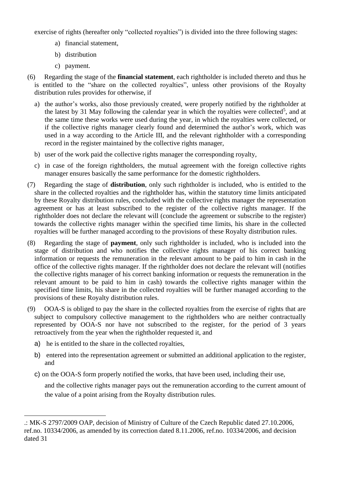exercise of rights (hereafter only "collected royalties") is divided into the three following stages:

- a) financial statement,
- b) distribution
- c) payment.
- (6) Regarding the stage of the **financial statement**, each rightholder is included thereto and thus he is entitled to the "share on the collected royalties", unless other provisions of the Royalty distribution rules provides for otherwise, if
	- a) the author's works, also those previously created, were properly notified by the rightholder at the latest by 31 May following the calendar year in which the royalties were collected<sup>5</sup>, and at the same time these works were used during the year, in which the royalties were collected, or if the collective rights manager clearly found and determined the author's work, which was used in a way according to the Article III, and the relevant rightholder with a corresponding record in the register maintained by the collective rights manager,
	- b) user of the work paid the collective rights manager the corresponding royalty,
	- c) in case of the foreign rightholders, the mutual agreement with the foreign collective rights manager ensures basically the same performance for the domestic rightholders.
- (7) Regarding the stage of **distribution**, only such rightholder is included, who is entitled to the share in the collected royalties and the rightholder has, within the statutory time limits anticipated by these Royalty distribution rules, concluded with the collective rights manager the representation agreement or has at least subscribed to the register of the collective rights manager. If the rightholder does not declare the relevant will (conclude the agreement or subscribe to the register) towards the collective rights manager within the specified time limits, his share in the collected royalties will be further managed according to the provisions of these Royalty distribution rules.
- (8) Regarding the stage of **payment**, only such rightholder is included, who is included into the stage of distribution and who notifies the collective rights manager of his correct banking information or requests the remuneration in the relevant amount to be paid to him in cash in the office of the collective rights manager. If the rightholder does not declare the relevant will (notifies the collective rights manager of his correct banking information or requests the remuneration in the relevant amount to be paid to him in cash) towards the collective rights manager within the specified time limits, his share in the collected royalties will be further managed according to the provisions of these Royalty distribution rules.
- (9) OOA-S is obliged to pay the share in the collected royalties from the exercise of rights that are subject to compulsory collective management to the rightholders who are neither contractually represented by OOA-S nor have not subscribed to the register, for the period of 3 years retroactively from the year when the rightholder requested it, and
	- a) he is entitled to the share in the collected royalties,
	- b) entered into the representation agreement or submitted an additional application to the register, and
	- c) on the OOA-S form properly notified the works, that have been used, including their use,

and the collective rights manager pays out the remuneration according to the current amount of the value of a point arising from the Royalty distribution rules.

<sup>.:</sup> MK-S 2797/2009 OAP, decision of Ministry of Culture of the Czech Republic dated 27.10.2006, ref.no. 10334/2006, as amended by its correction dated 8.11.2006, ref.no. 10334/2006, and decision dated 31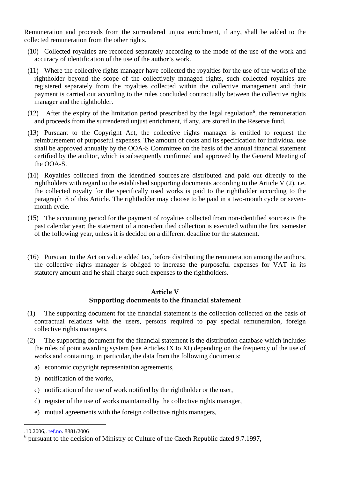Remuneration and proceeds from the surrendered unjust enrichment, if any, shall be added to the collected remuneration from the other rights.

- (10) Collected royalties are recorded separately according to the mode of the use of the work and accuracy of identification of the use of the author's work.
- (11) Where the collective rights manager have collected the royalties for the use of the works of the rightholder beyond the scope of the collectively managed rights, such collected royalties are registered separately from the royalties collected within the collective management and their payment is carried out according to the rules concluded contractually between the collective rights manager and the rightholder.
- (12) After the expiry of the limitation period prescribed by the legal regulation<sup>6</sup>, the remuneration and proceeds from the surrendered unjust enrichment, if any, are stored in the Reserve fund.
- (13) Pursuant to the Copyright Act, the collective rights manager is entitled to request the reimbursement of purposeful expenses. The amount of costs and its specification for individual use shall be approved annually by the OOA-S Committee on the basis of the annual financial statement certified by the auditor, which is subsequently confirmed and approved by the General Meeting of the OOA-S.
- (14) Royalties collected from the identified sources are distributed and paid out directly to the rightholders with regard to the established supporting documents according to the Article V (2), i.e. the collected royalty for the specifically used works is paid to the rightholder according to the paragraph 8 of this Article. The rightholder may choose to be paid in a two-month cycle or sevenmonth cycle.
- (15) The accounting period for the payment of royalties collected from non-identified sources is the past calendar year; the statement of a non-identified collection is executed within the first semester of the following year, unless it is decided on a different deadline for the statement.
- (16) Pursuant to the Act on value added tax, before distributing the remuneration among the authors, the collective rights manager is obliged to increase the purposeful expenses for VAT in its statutory amount and he shall charge such expenses to the rightholders.

## **Article V**

## **Supporting documents to the financial statement**

- (1) The supporting document for the financial statement is the collection collected on the basis of contractual relations with the users, persons required to pay special remuneration, foreign collective rights managers.
- (2) The supporting document for the financial statement is the distribution database which includes the rules of point awarding system (see Articles IX to XI) depending on the frequency of the use of works and containing, in particular, the data from the following documents:
	- a) economic copyright representation agreements,
	- b) notification of the works,
	- c) notification of the use of work notified by the rightholder or the user,
	- d) register of the use of works maintained by the collective rights manager,
	- e) mutual agreements with the foreign collective rights managers,

<sup>.10.2006,</sup> [ref.no.](http://ref.no/) 8881/2006

<sup>&</sup>lt;sup>6</sup> pursuant to the decision of Ministry of Culture of the Czech Republic dated 9.7.1997,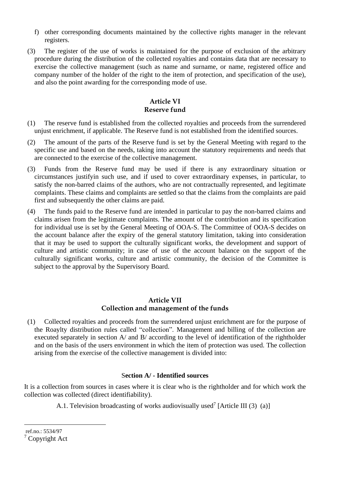- f) other corresponding documents maintained by the collective rights manager in the relevant registers.
- (3) The register of the use of works is maintained for the purpose of exclusion of the arbitrary procedure during the distribution of the collected royalties and contains data that are necessary to exercise the collective management (such as name and surname, or name, registered office and company number of the holder of the right to the item of protection, and specification of the use), and also the point awarding for the corresponding mode of use.

## **Article VI Reserve fund**

- (1) The reserve fund is established from the collected royalties and proceeds from the surrendered unjust enrichment, if applicable. The Reserve fund is not established from the identified sources.
- (2) The amount of the parts of the Reserve fund is set by the General Meeting with regard to the specific use and based on the needs, taking into account the statutory requirements and needs that are connected to the exercise of the collective management.
- (3) Funds from the Reserve fund may be used if there is any extraordinary situation or circumstances justifyin such use, and if used to cover extraordinary expenses, in particular, to satisfy the non-barred claims of the authors, who are not contractually represented, and legitimate complaints. These claims and complaints are settled so that the claims from the complaints are paid first and subsequently the other claims are paid.
- (4) The funds paid to the Reserve fund are intended in particular to pay the non-barred claims and claims arisen from the legitimate complaints. The amount of the contribution and its specification for individual use is set by the General Meeting of OOA-S. The Committee of OOA-S decides on the account balance after the expiry of the general statutory limitation, taking into consideration that it may be used to support the culturally significant works, the development and support of culture and artistic community; in case of use of the account balance on the support of the culturally significant works, culture and artistic community, the decision of the Committee is subject to the approval by the Supervisory Board.

## **Article VII Collection and management of the funds**

(1) Collected royalties and proceeds from the surrendered unjust enrichment are for the purpose of the Roaylty distribution rules called "collection". Management and billing of the collection are executed separately in section A/ and B/ according to the level of identification of the rightholder and on the basis of the users environment in which the item of protection was used. The collection arising from the exercise of the collective management is divided into:

## S**ection A/ - Identified sources**

It is a collection from sources in cases where it is clear who is the rightholder and for which work the collection was collected (direct identifiability).

A.1. Television broadcasting of works audiovisually used<sup>7</sup> [Article III (3) (a)]

ref.no.: 5534/97 <sup>7</sup> Copyright Act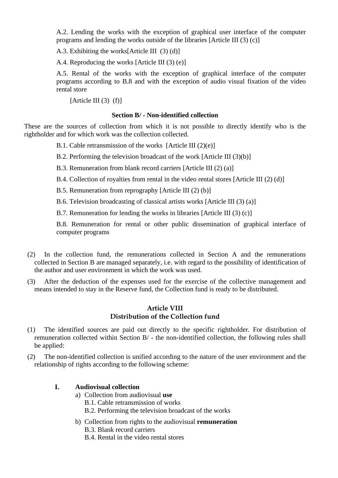A.2. Lending the works with the exception of graphical user interface of the computer programs and lending the works outside of the libraries [Article III (3) (c)]

A.3. Exhibiting the works[Article III (3) (d)]

A.4. Reproducing the works [Article III (3) (e)]

A.5. Rental of the works with the exception of graphical interface of the computer programs according to B.8 and with the exception of audio visual fixation of the video rental store

[Article III  $(3)$   $(f)$ ]

#### **Section B/ - Non-identified collection**

These are the sources of collection from which it is not possible to directly identify who is the rightholder and for which work was the collection collected.

B.1. Cable retransmission of the works [Article III (2)(e)]

B.2. Performing the television broadcast of the work [Article III (3)(b)]

B.3. Remuneration from blank record carriers [Article III (2) (a)]

B.4. Collection of royalties from rental in the video rental stores [Article III (2) (d)]

B.5. Remuneration from reprography [Article III (2) (b)]

B.6. Television broadcasting of classical artists works [Article III (3) (a)]

B.7. Remuneration for lending the works in libraries [Article III (3) (c)]

B.8. Remuneration for rental or other public dissemination of graphical interface of computer programs

- (2) In the collection fund, the remunerations collected in Section A and the remunerations collected in Section B are managed separately, i.e. with regard to the possibility of identification of the author and user environment in which the work was used.
- (3) After the deduction of the expenses used for the exercise of the collective management and means intended to stay in the Reserve fund, the Collection fund is ready to be distributed.

## **Article VIII Distribution of the Collection fund**

- (1) The identified sources are paid out directly to the specific rightholder. For distribution of remuneration collected within Section B/ - the non-identified collection, the following rules shall be applied:
- (2) The non-identified collection is unified according to the nature of the user environment and the relationship of rights according to the following scheme:

## **I. Audiovisual collection**

- a) Collection from audiovisual **use**
	- B.1. Cable retransmission of works
	- B.2. Performing the television broadcast of the works
- b) Collection from rights to the audiovisual **remuneration**
	- B.3. Blank record carriers
	- B.4. Rental in the video rental stores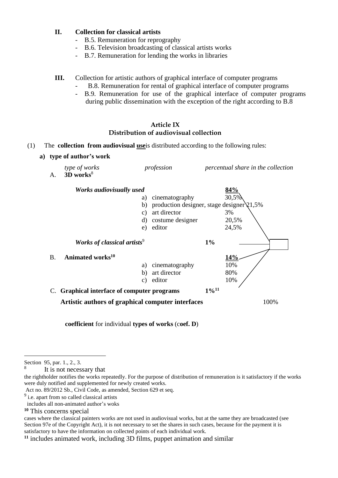#### **II. Collection for classical artists**

- B.5. Remuneration for reprography
- B.6. Television broadcasting of classical artists works
- B.7. Remuneration for lending the works in libraries

#### **III.** Collection for artistic authors of graphical interface of computer programs

- B.8. Remuneration for rental of graphical interface of computer programs
- B.9. Remuneration for use of the graphical interface of computer programs during public dissemination with the exception of the right according to B.8

#### **Article IX Distribution of audiovisual collection**

#### (1) The **collection from audiovisual use**is distributed according to the following rules:

**a) type of author's work**

| A.        | type of works<br>$3D$ works <sup>8</sup>    | profession                                                                                                                                           |                     | percentual share in the collection          |  |
|-----------|---------------------------------------------|------------------------------------------------------------------------------------------------------------------------------------------------------|---------------------|---------------------------------------------|--|
|           | Works audiovisually used                    | cinematography<br>a)<br>production designer, stage designer $21,5\%$<br>b)<br>art director<br>$\mathcal{C}$ )<br>costume designer<br>d)<br>e) editor |                     | <u>84%</u><br>30,5%<br>3%<br>20,5%<br>24,5% |  |
|           | Works of classical artists <sup>9</sup>     |                                                                                                                                                      | 1%                  |                                             |  |
| <b>B.</b> | Animated works <sup>10</sup>                | cinematography<br>a)<br>art director<br>b)<br>editor<br>C)                                                                                           |                     | 14%<br>10%<br>80%<br>10%                    |  |
|           | C. Graphical interface of computer programs |                                                                                                                                                      | $1\%$ <sup>11</sup> |                                             |  |
|           |                                             | Artistic authors of graphical computer interfaces                                                                                                    |                     | 100%                                        |  |

**coefficient** for individual **types of works** (c**oef. D**)

It is not necessary that

Section 95, par. 1., 2., 3. 8

the rightholder notifies the works repeatedly. For the purpose of distribution of remuneration is it satisfactory if the works were duly notified and supplemented for newly created works.

Act no. 89/2012 Sb., Civil Code, as amended, Section 629 et seq.

<sup>&</sup>lt;sup>9</sup> i.e. apart from so called classical artists

includes all non-animated author's woks

**<sup>10</sup>** This concerns special

cases where the classical painters works are not used in audiovisual works, but at the same they are broadcasted (see Section 97e of the Copyright Act), it is not necessary to set the shares in such cases, because for the payment it is satisfactory to have the information on collected points of each individual work.

**<sup>11</sup>** includes animated work, including 3D films, puppet animation and similar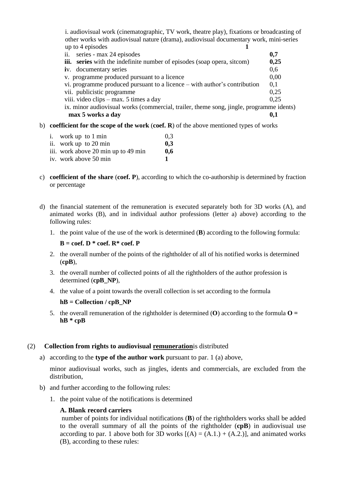i. audiovisual work (cinematographic, TV work, theatre play), fixations or broadcasting of other works with audiovisual nature (drama), audiovisual documentary work, mini-series up to 4 episodes **1** ii. series - max 24 episodes **0,7**<br> **iii. series** with the indefinite number of episodes (soap opera, sitcom) **0.25 iii.** series with the indefinite number of episodes (soap opera, sitcom) **i**v. documentary series 0.6 v. programme produced pursuant to a licence 0,00 vi. programme produced pursuant to a licence – with author's contribution  $0.1$ vii. publicistic programme 0,25 viii. video clips – max. 5 times a day 0,25 ix. minor audiovisual works (commercial, trailer, theme song, jingle, programme idents) **max 5 works a day 0,1** b) **coefficient for the scope of the work** (**coef. R**) of the above mentioned types of works

- i. work up to 1 min  $0.3$ ii. work up to 20 min **0,3** iii. work above 20 min up to 49 min **0,6** iv. work above 50 min **1**
- c) **coefficient of the share** (**coef. P**), according to which the co-authorship is determined by fraction or percentage
- d) the financial statement of the remuneration is executed separately both for 3D works (A), and animated works (B), and in individual author professions (letter a) above) according to the following rules:
	- 1. the point value of the use of the work is determined (**B**) according to the following formula:

 $B = \text{coeff.}$  **D**  $*$  **coef. R** $*$  **coef. P** 

- 2. the overall number of the points of the rightholder of all of his notified works is determined (**cpB**),
- 3. the overall number of collected points of all the rightholders of the author profession is determined (**cpB\_NP**),
- 4. the value of a point towards the overall collection is set according to the formula

#### $hB =$  **Collection** / **cpB NP**

5. the overall remuneration of the rightholder is determined (**O**) according to the formula  $\mathbf{O} =$ **hB \* cpB**

## (2) **Collection from rights to audiovisual remuneration**is distributed

a) according to the **type of the author work** pursuant to par. 1 (a) above,

minor audiovisual works, such as jingles, idents and commercials, are excluded from the distribution,

- b) and further according to the following rules:
	- 1. the point value of the notifications is determined

## **A. Blank record carriers**

number of points for individual notifications (**B**) of the rightholders works shall be added to the overall summary of all the points of the rightholder (**cpB**) in audiovisual use according to par. 1 above both for 3D works  $[(A) = (A.1.) + (A.2.)]$ , and animated works (B), according to these rules: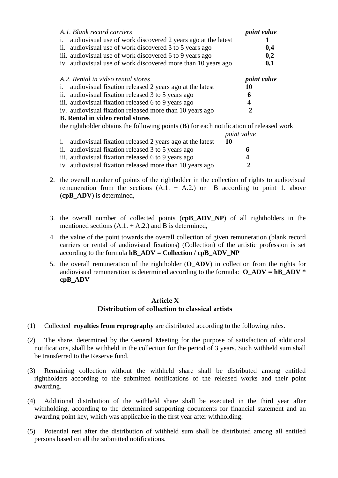| A.1. Blank record carriers                                                                | <i>point value</i> |
|-------------------------------------------------------------------------------------------|--------------------|
| audiovisual use of work discovered 2 years ago at the latest<br>1.                        |                    |
| ii.<br>audiovisual use of work discovered 3 to 5 years ago                                | 0,4                |
| iii. audiovisual use of work discovered 6 to 9 years ago                                  | 0,2                |
| iv. audiovisual use of work discovered more than 10 years ago                             | 0,1                |
| A.2. Rental in video rental stores                                                        | <i>point value</i> |
| audiovisual fixation released 2 years ago at the latest<br>1.                             | 10                 |
| ii. audiovisual fixation released 3 to 5 years ago                                        | 6                  |
| iii. audiovisual fixation released 6 to 9 years ago                                       |                    |
| iv. audiovisual fixation released more than 10 years ago                                  |                    |
| <b>B.</b> Rental in video rental stores                                                   |                    |
| the rightholder obtains the following points $(B)$ for each notification of released work |                    |
|                                                                                           | <i>point value</i> |

|                                                            | pouu van    |
|------------------------------------------------------------|-------------|
| i. audiovisual fixation released 2 years ago at the latest | 10          |
| ii. audiovisual fixation released 3 to 5 years ago         | 6.          |
| iii. audiovisual fixation released 6 to 9 years ago        | $\mathbf 4$ |
| iv. audiovisual fixation released more than 10 years ago   | 2           |

- 2. the overall number of points of the rightholder in the collection of rights to audiovisual remuneration from the sections  $(A.1. + A.2.)$  or B according to point 1. above (**cpB\_ADV**) is determined,
- 3. the overall number of collected points (**cpB\_ADV\_NP**) of all rightholders in the mentioned sections  $(A.1. + A.2.)$  and B is determined,
- 4. the value of the point towards the overall collection of given remuneration (blank record carriers or rental of audiovisual fixations) (Collection) of the artistic profession is set according to the formula  $hB$   $ADV =$  **Collection**  $/$  **cpB**  $ADV$   $NP$
- 5. the overall remuneration of the rightholder (**O\_ADV**) in collection from the rights for audiovisual remuneration is determined according to the formula:  $\bf{O}$   $\bf{ADV} = \bf{h}$  $\bf{B}$   $\bf{ADV} = \bf{h}$ **cpB\_ADV**

#### **Article X Distribution of collection to classical artists**

- (1) Collected **royalties from reprography** are distributed according to the following rules.
- (2) The share, determined by the General Meeting for the purpose of satisfaction of additional notifications, shall be withheld in the collection for the period of 3 years. Such withheld sum shall be transferred to the Reserve fund.
- (3) Remaining collection without the withheld share shall be distributed among entitled rightholders according to the submitted notifications of the released works and their point awarding.
- (4) Additional distribution of the withheld share shall be executed in the third year after withholding, according to the determined supporting documents for financial statement and an awarding point key, which was applicable in the first year after withholding.
- (5) Potential rest after the distribution of withheld sum shall be distributed among all entitled persons based on all the submitted notifications.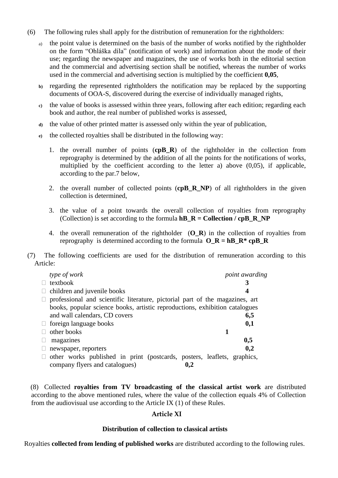- (6) The following rules shall apply for the distribution of remuneration for the rightholders:
	- a) the point value is determined on the basis of the number of works notified by the rightholder on the form "Ohláška díla" (notification of work) and information about the mode of their use; regarding the newspaper and magazines, the use of works both in the editorial section and the commercial and advertising section shall be notified, whereas the number of works used in the commercial and advertising section is multiplied by the coefficient **0,05**,
	- **b)** regarding the represented rightholders the notification may be replaced by the supporting documents of OOA-S, discovered during the exercise of individually managed rights,
	- **c)** the value of books is assessed within three years, following after each edition; regarding each book and author, the real number of published works is assessed,
	- **d)** the value of other printed matter is assessed only within the year of publication,
	- **e)** the collected royalties shall be distributed in the following way:
		- 1. the overall number of points (**cpB\_R**) of the rightholder in the collection from reprography is determined by the addition of all the points for the notifications of works, multiplied by the coefficient according to the letter a) above (0,05), if applicable, according to the par.7 below,
		- 2. the overall number of collected points (**cpB\_R\_NP**) of all rightholders in the given collection is determined,
		- 3. the value of a point towards the overall collection of royalties from reprography (Collection) is set according to the formula **hB\_R = Collection / cpB\_R\_NP**
		- 4. the overall remuneration of the rightholder (**O\_R**) in the collection of royalties from reprography is determined according to the formula  $\mathbf{O}_R = \mathbf{h} \mathbf{B} \cdot \mathbf{R}^* \mathbf{c} \mathbf{p} \mathbf{B} \cdot \mathbf{R}$
- (7) The following coefficients are used for the distribution of remuneration according to this Article:

| type of work                                                                 | point awarding |
|------------------------------------------------------------------------------|----------------|
| textbook                                                                     |                |
| children and juvenile books                                                  |                |
| professional and scientific literature, pictorial part of the magazines, art |                |
| books, popular science books, artistic reproductions, exhibition catalogues  |                |
| and wall calendars, CD covers                                                | 6,5            |
| $\Box$ foreign language books                                                | 0,1            |
| other books                                                                  |                |
| magazines                                                                    | 0,5            |
| newspaper, reporters                                                         | 0,2            |
| other works published in print (postcards, posters, leaflets, graphics,      |                |
| company flyers and catalogues)<br>0,2                                        |                |

(8) Collected **royalties from TV broadcasting of the classical artist work** are distributed according to the above mentioned rules, where the value of the collection equals 4% of Collection from the audiovisual use according to the Article IX (1) of these Rules.

## **Article XI**

## **Distribution of collection to classical artists**

Royalties **collected from lending of published works** are distributed according to the following rules.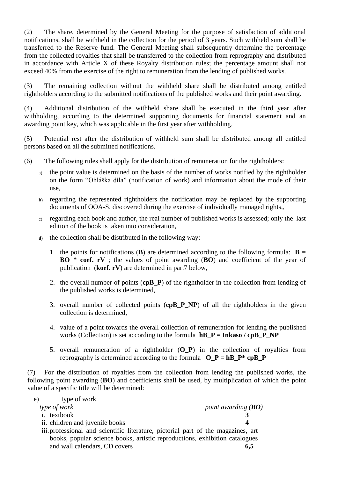(2) The share, determined by the General Meeting for the purpose of satisfaction of additional notifications, shall be withheld in the collection for the period of 3 years. Such withheld sum shall be transferred to the Reserve fund. The General Meeting shall subsequently determine the percentage from the collected royalties that shall be transferred to the collection from reprography and distributed in accordance with Article X of these Royalty distribution rules; the percentage amount shall not exceed 40% from the exercise of the right to remuneration from the lending of published works.

(3) The remaining collection without the withheld share shall be distributed among entitled rightholders according to the submitted notifications of the published works and their point awarding.

(4) Additional distribution of the withheld share shall be executed in the third year after withholding, according to the determined supporting documents for financial statement and an awarding point key, which was applicable in the first year after withholding.

(5) Potential rest after the distribution of withheld sum shall be distributed among all entitled persons based on all the submitted notifications.

- (6) The following rules shall apply for the distribution of remuneration for the rightholders:
	- a) the point value is determined on the basis of the number of works notified by the rightholder on the form "Ohláška díla" (notification of work) and information about the mode of their use,
	- **b)** regarding the represented rightholders the notification may be replaced by the supporting documents of OOA-S, discovered during the exercise of individually managed rights,,
	- c) regarding each book and author, the real number of published works is assessed; only the last edition of the book is taken into consideration,
	- **d)** the collection shall be distributed in the following way:
		- 1. the points for notifications (**B**) are determined according to the following formula:  $\mathbf{B} =$ **BO \* coef. rV** ; the values of point awarding (**BO**) and coefficient of the year of publication (**koef. rV**) are determined in par.7 below,
		- 2. the overall number of points (**cpB\_P**) of the rightholder in the collection from lending of the published works is determined,
		- 3. overall number of collected points (**cpB\_P\_NP**) of all the rightholders in the given collection is determined,
		- 4. value of a point towards the overall collection of remuneration for lending the published works (Collection) is set according to the formula **hB\_P = Inkaso / cpB\_P\_NP**
		- 5. overall remuneration of a rightholder (**O\_P**) in the collection of royalties from reprography is determined according to the formula  $O_P = hB_P^* c p B_P$

(7) For the distribution of royalties from the collection from lending the published works, the following point awarding (**BO**) and coefficients shall be used, by multiplication of which the point value of a specific title will be determined:

| e) | type of work                    |                                                                                   |
|----|---------------------------------|-----------------------------------------------------------------------------------|
|    | type of work                    | point awarding $(BO)$                                                             |
|    | <i>i</i> . textbook             |                                                                                   |
|    | ii. children and juvenile books |                                                                                   |
|    |                                 | iii. professional and scientific literature, pictorial part of the magazines, art |
|    |                                 | books, popular science books, artistic reproductions, exhibition catalogues       |

and wall calendars, CD covers 6,5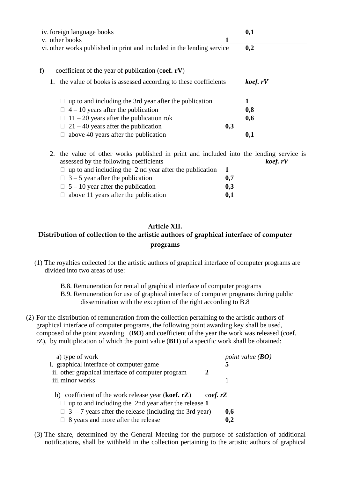| iv. foreign language books                                                                                                        | 0,1     |
|-----------------------------------------------------------------------------------------------------------------------------------|---------|
| v. other books<br>1                                                                                                               |         |
| vi. other works published in print and included in the lending service                                                            | 0,2     |
| coefficient of the year of publication (coef. $rV$ )<br>f)                                                                        |         |
| 1. the value of books is assessed according to these coefficients                                                                 | koef.rV |
| up to and including the 3rd year after the publication                                                                            |         |
| $4 - 10$ years after the publication                                                                                              | 0,8     |
| $11 - 20$ years after the publication rok<br>$\mathbf{L}$                                                                         | 0,6     |
| $21 - 40$ years after the publication<br>0,3                                                                                      |         |
| above 40 years after the publication                                                                                              | 0,1     |
| 2. the value of other works published in print and included into the lending service is<br>assessed by the following coefficients | koef.rV |

| $\Box$ up to and including the 2 nd year after the publication | 1   |
|----------------------------------------------------------------|-----|
| $\Box$ 3 – 5 year after the publication                        | 0,7 |
| $\Box$ 5 – 10 year after the publication                       | 0,3 |
| $\Box$ above 11 years after the publication                    | 0,1 |

# **Article XII. Distribution of collection to the artistic authors of graphical interface of computer programs**

- (1) The royalties collected for the artistic authors of graphical interface of computer programs are divided into two areas of use:
	- B.8. Remuneration for rental of graphical interface of computer programs
	- B.9. Remuneration for use of graphical interface of computer programs during public dissemination with the exception of the right according to B.8
- (2) For the distribution of remuneration from the collection pertaining to the artistic authors of graphical interface of computer programs, the following point awarding key shall be used, composed of the point awarding (**BO**) and coefficient of the year the work was released (coef. rZ), by multiplication of which the point value (**BH**) of a specific work shall be obtained:

| a) type of work<br>i. graphical interface of computer game    |         | point value $(BO)$<br>5 |  |
|---------------------------------------------------------------|---------|-------------------------|--|
| ii. other graphical interface of computer program             | 2       |                         |  |
| iii. minor works                                              |         |                         |  |
| b) coefficient of the work release year ( <b>koef.</b> $rZ$ ) | coef.rZ |                         |  |
| $\Box$ up to and including the 2nd year after the release 1   |         |                         |  |
| $\Box$ 3 - 7 years after the release (including the 3rd year) |         | 0,6                     |  |
| $\Box$ 8 years and more after the release                     |         | 0,2                     |  |

(3) The share, determined by the General Meeting for the purpose of satisfaction of additional notifications, shall be withheld in the collection pertaining to the artistic authors of graphical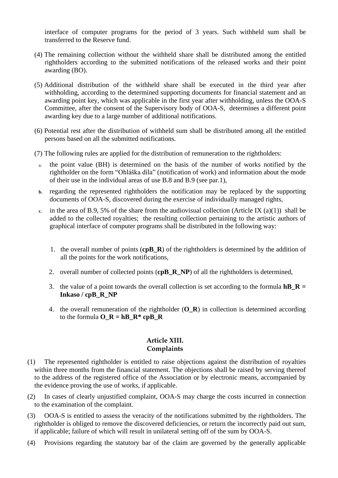interface of computer programs for the period of 3 years. Such withheld sum shall be transferred to the Reserve fund.

- (4) The remaining collection without the withheld share shall be distributed among the entitled rightholders according to the submitted notifications of the released works and their point awarding (BO).
- (5) Additional distribution of the withheld share shall be executed in the third year after withholding, according to the determined supporting documents for financial statement and an awarding point key, which was applicable in the first year after withholding, unless the OOA-S Committee, after the consent of the Supervisory body of OOA-S, determines a different point awarding key due to a large number of additional notifications.
- (6) Potential rest after the distribution of withheld sum shall be distributed among all the entitled persons based on all the submitted notifications.
- (7) The following rules are applied for the distribution of remuneration to the rightholders:
	- a. the point value (BH) is determined on the basis of the number of works notified by the rightholder on the form "Ohláška díla" (notification of work) and information about the mode of their use in the individual areas of use B.8 and B.9 (see par.1),
	- **b.** regarding the represented rightholders the notification may be replaced by the supporting documents of OOA-S, discovered during the exercise of individually managed rights,
	- **c.** in the area of B.9, 5% of the share from the audiovisual collection (Article IX (a)(1)) shall be added to the collected royalties; the resulting collection pertaining to the artistic authors of graphical interface of computer programs shall be distributed in the following way:
		- 1. the overall number of points (**cpB\_R**) of the rightholders is determined by the addition of all the points for the work notifications,
		- 2. overall number of collected points (**cpB\_R\_NP**) of all the rightholders is determined,
		- 3. the value of a point towards the overall collection is set according to the formula **hB\_R = Inkaso / cpB\_R\_NP**
		- 4. the overall remuneration of the rightholder (**O\_R**) in collection is determined according to the formula  $O_R = hB_R* cpB_R$

## **Article XIII. Complaints**

- (1) The represented rightholder is entitled to raise objections against the distribution of royalties within three months from the financial statement. The objections shall be raised by serving thereof to the address of the registered office of the Association or by electronic means, accompanied by the evidence proving the use of works, if applicable.
- (2) In cases of clearly unjustified complaint, OOA-S may charge the costs incurred in connection to the examination of the complaint.
- (3) OOA-S is entitled to assess the veracity of the notifications submitted by the rightholders. The rightholder is obliged to remove the discovered deficiencies, or return the incorrectly paid out sum, if applicable; failure of which will result in unilateral setting off of the sum by OOA-S.
- (4) Provisions regarding the statutory bar of the claim are governed by the generally applicable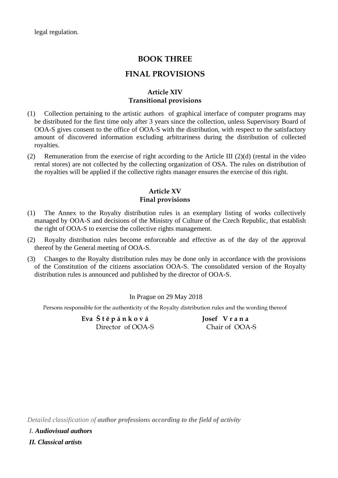legal regulation.

## **BOOK THREE**

## **FINAL PROVISIONS**

## **Article XIV Transitional provisions**

- (1) Collection pertaining to the artistic authors of graphical interface of computer programs may be distributed for the first time only after 3 years since the collection, unless Supervisory Board of OOA-S gives consent to the office of OOA-S with the distribution, with respect to the satisfactory amount of discovered information excluding arbitrariness during the distribution of collected royalties.
- (2) Remuneration from the exercise of right according to the Article III (2)(d) (rental in the video rental stores) are not collected by the collecting organization of OSA. The rules on distribution of the royalties will be applied if the collective rights manager ensures the exercise of this right.

## **Article XV Final provisions**

- (1) The Annex to the Royalty distribution rules is an exemplary listing of works collectively managed by OOA-S and decisions of the Ministry of Culture of the Czech Republic, that establish the right of OOA-S to exercise the collective rights management.
- (2) Royalty distribution rules become enforceable and effective as of the day of the approval thereof by the General meeting of OOA-S.
- (3) Changes to the Royalty distribution rules may be done only in accordance with the provisions of the Constitution of the citizens association OOA-S. The consolidated version of the Royalty distribution rules is announced and published by the director of OOA-S.

In Prague on 29 May 2018

Persons responsible for the authenticity of the Royalty distribution rules and the wording thereof

**Eva Š t ě p á n k o v á Josef V r a n a** Director of OOA-S Chair of OOA-S

*Detailed classification of author professions according to the field of activity*

*I. Audiovisual authors*

*II. Classical artists*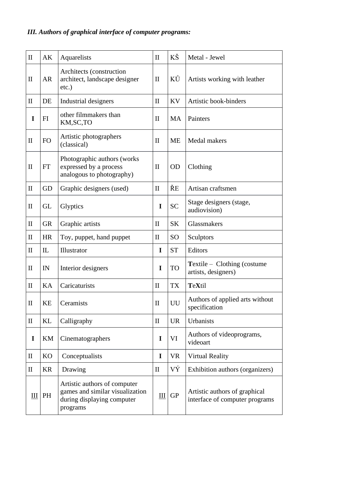# *III. Authors of graphical interface of computer programs:*

| $\mathbf{I}$ | AK                         | Aquarelists                                                                                               | $\mathbf{I}$                | KŠ        | Metal - Jewel                                                   |
|--------------|----------------------------|-----------------------------------------------------------------------------------------------------------|-----------------------------|-----------|-----------------------------------------------------------------|
| $\mathbf{I}$ | <b>AR</b>                  | Architects (construction<br>architect, landscape designer<br>$etc.$ )                                     | $\mathbf{I}$                | KŮ        | Artists working with leather                                    |
| $\mathbf{I}$ | DE                         | Industrial designers                                                                                      | $\mathbf{I}$                | <b>KV</b> | Artistic book-binders                                           |
| I            | FI                         | other filmmakers than<br>KM, SC, TO                                                                       | $\mathbf{I}$                | <b>MA</b> | Painters                                                        |
| $\mathbf{I}$ | FO                         | Artistic photographers<br>(classical)                                                                     | $\mathbf{I}$                | <b>ME</b> | Medal makers                                                    |
| $\mathbf{I}$ | FT                         | Photographic authors (works)<br>expressed by a process<br>analogous to photography)                       | $\mathbf{I}$                | <b>OD</b> | Clothing                                                        |
| $\mathbf{I}$ | GD                         | Graphic designers (used)                                                                                  | $\mathbf{I}$                | ŘE        | Artisan craftsmen                                               |
| $\mathbf{I}$ | <b>GL</b>                  | Glyptics                                                                                                  | I                           | <b>SC</b> | Stage designers (stage,<br>audiovision)                         |
| $\mathbf{I}$ | <b>GR</b>                  | Graphic artists                                                                                           | $\mathbf{I}$                | <b>SK</b> | Glassmakers                                                     |
| $\mathbf{I}$ | <b>HR</b>                  | Toy, puppet, hand puppet                                                                                  | $\mathbf{I}$                | <b>SO</b> | Sculptors                                                       |
| $\mathbf{I}$ | $\mathbf{L}$               | Illustrator                                                                                               | I                           | <b>ST</b> | Editors                                                         |
| $\mathbf{I}$ | IN                         | Interior designers                                                                                        | I                           | <b>TO</b> | <b>Textile</b> – Clothing (costume<br>artists, designers)       |
| $\mathbf{I}$ | KA                         | Caricaturists                                                                                             | $\mathbf{I}$                | <b>TX</b> | TeXtil                                                          |
| $\rm II$     | KE                         | Ceramists                                                                                                 | $\rm II$                    | UU        | Authors of applied arts without<br>specification                |
| $\mathbf{I}$ | KL                         | Calligraphy                                                                                               | $\mathbf{I}$                | <b>UR</b> | Urbanists                                                       |
| I            | $\mathop{\rm KM}\nolimits$ | Cinematographers                                                                                          | I                           | VI        | Authors of videoprograms,<br>videoart                           |
| $\mathbf{I}$ | KO                         | Conceptualists                                                                                            | I                           | <b>VR</b> | <b>Virtual Reality</b>                                          |
| $\mathbf{I}$ | <b>KR</b>                  | Drawing                                                                                                   | $\mathbf{I}$                | VÝ        | Exhibition authors (organizers)                                 |
| III          | PH                         | Artistic authors of computer<br>games and similar visualization<br>during displaying computer<br>programs | $\mathop{\rm III}\nolimits$ | <b>GP</b> | Artistic authors of graphical<br>interface of computer programs |